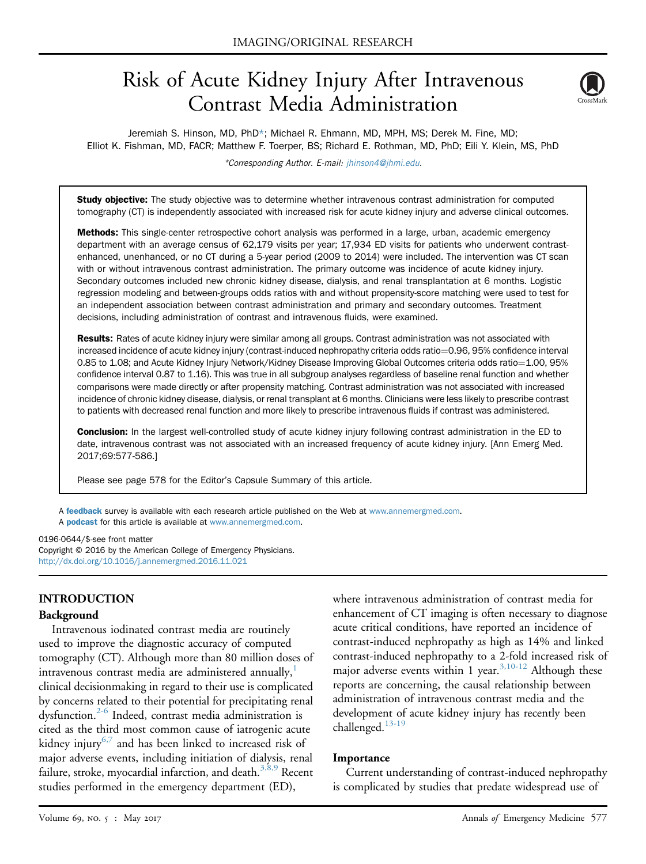# Risk of Acute Kidney Injury After Intravenous Contrast Media Administration



Jeremiah S. Hinson, MD, PhD\*; Michael R. Ehmann, MD, MPH, MS; Derek M. Fine, MD; Elliot K. Fishman, MD, FACR; Matthew F. Toerper, BS; Richard E. Rothman, MD, PhD; Eili Y. Klein, MS, PhD

\*Corresponding Author. E-mail: [jhinson4@jhmi.edu.](mailto:jhinson4@jhmi.edu)

Study objective: The study objective was to determine whether intravenous contrast administration for computed tomography (CT) is independently associated with increased risk for acute kidney injury and adverse clinical outcomes.

Methods: This single-center retrospective cohort analysis was performed in a large, urban, academic emergency department with an average census of 62,179 visits per year; 17,934 ED visits for patients who underwent contrastenhanced, unenhanced, or no CT during a 5-year period (2009 to 2014) were included. The intervention was CT scan with or without intravenous contrast administration. The primary outcome was incidence of acute kidney injury. Secondary outcomes included new chronic kidney disease, dialysis, and renal transplantation at 6 months. Logistic regression modeling and between-groups odds ratios with and without propensity-score matching were used to test for an independent association between contrast administration and primary and secondary outcomes. Treatment decisions, including administration of contrast and intravenous fluids, were examined.

Results: Rates of acute kidney injury were similar among all groups. Contrast administration was not associated with increased incidence of acute kidney injury (contrast-induced nephropathy criteria odds ratio=0.96, 95% confidence interval 0.85 to 1.08; and Acute Kidney Injury Network/Kidney Disease Improving Global Outcomes criteria odds ratio=1.00, 95% confidence interval 0.87 to 1.16). This was true in all subgroup analyses regardless of baseline renal function and whether comparisons were made directly or after propensity matching. Contrast administration was not associated with increased incidence of chronic kidney disease, dialysis, or renal transplant at 6 months. Clinicians were less likely to prescribe contrast to patients with decreased renal function and more likely to prescribe intravenous fluids if contrast was administered.

Conclusion: In the largest well-controlled study of acute kidney injury following contrast administration in the ED to date, intravenous contrast was not associated with an increased frequency of acute kidney injury. [Ann Emerg Med. 2017;69:577-586.]

Please see page 578 for the Editor's Capsule Summary of this article.

A [feedback](https://www.surveymonkey.com/r/5WR9DGJ) survey is available with each research article published on the Web at [www.annemergmed.com.](http://www.annemergmed.com) A **[podcast](http://annemergmed.com/content/podcast)** for this article is available at [www.annemergmed.com](http://www.annemergmed.com).

### 0196-0644/\$-see front matter

Copyright © 2016 by the American College of Emergency Physicians. <http://dx.doi.org/10.1016/j.annemergmed.2016.11.021>

## INTRODUCTION

### Background

Intravenous iodinated contrast media are routinely used to improve the diagnostic accuracy of computed tomography (CT). Although more than 80 million doses of intravenous contrast media are administered annually, clinical decisionmaking in regard to their use is complicated by concerns related to their potential for precipitating renal dysfunction.<sup>2-6</sup> Indeed, contrast media administration is cited as the third most common cause of iatrogenic acute kidney injury<sup>[6,7](#page-9-2)</sup> and has been linked to increased risk of major adverse events, including initiation of dialysis, renal failure, stroke, myocardial infarction, and death.<sup>[3,8,9](#page-9-3)</sup> Recent studies performed in the emergency department (ED),

where intravenous administration of contrast media for enhancement of CT imaging is often necessary to diagnose acute critical conditions, have reported an incidence of contrast-induced nephropathy as high as 14% and linked contrast-induced nephropathy to a 2-fold increased risk of major adverse events within 1 year.  $3,10-12$  Although these reports are concerning, the causal relationship between administration of intravenous contrast media and the development of acute kidney injury has recently been challenged. $13-19$ 

### **Importance**

Current understanding of contrast-induced nephropathy is complicated by studies that predate widespread use of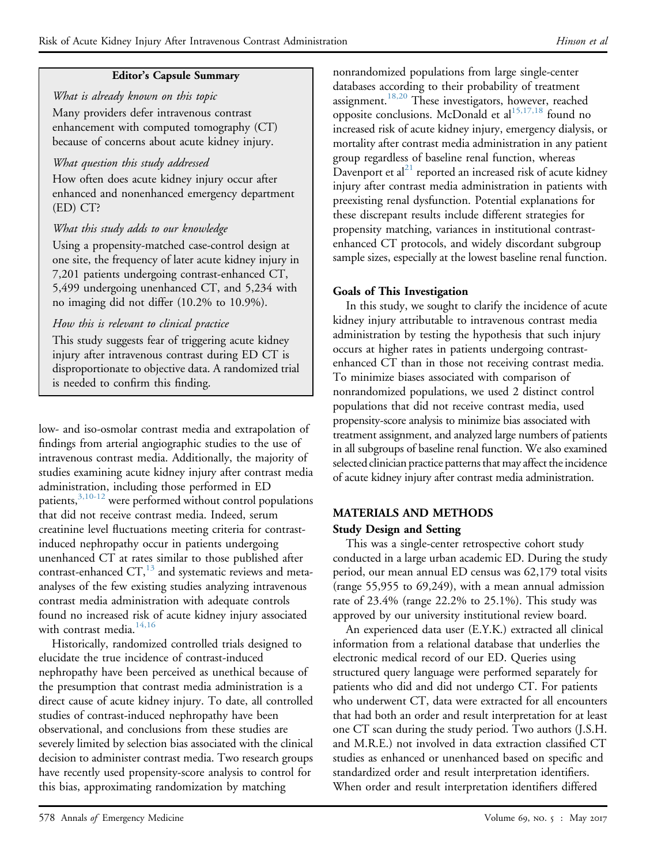# Editor's Capsule Summary

What is already known on this topic Many providers defer intravenous contrast enhancement with computed tomography (CT) because of concerns about acute kidney injury.

# What question this study addressed

How often does acute kidney injury occur after enhanced and nonenhanced emergency department (ED) CT?

# What this study adds to our knowledge

Using a propensity-matched case-control design at one site, the frequency of later acute kidney injury in 7,201 patients undergoing contrast-enhanced CT, 5,499 undergoing unenhanced CT, and 5,234 with no imaging did not differ (10.2% to 10.9%).

# How this is relevant to clinical practice

This study suggests fear of triggering acute kidney injury after intravenous contrast during ED CT is disproportionate to objective data. A randomized trial is needed to confirm this finding.

low- and iso-osmolar contrast media and extrapolation of findings from arterial angiographic studies to the use of intravenous contrast media. Additionally, the majority of studies examining acute kidney injury after contrast media administration, including those performed in ED patients,<sup>3,10-12</sup> were performed without control populations that did not receive contrast media. Indeed, serum creatinine level fluctuations meeting criteria for contrastinduced nephropathy occur in patients undergoing unenhanced CT at rates similar to those published after contrast-enhanced  $CT$ ,<sup>[13](#page-9-4)</sup> and systematic reviews and metaanalyses of the few existing studies analyzing intravenous contrast media administration with adequate controls found no increased risk of acute kidney injury associated with contrast media. $14,16$ 

Historically, randomized controlled trials designed to elucidate the true incidence of contrast-induced nephropathy have been perceived as unethical because of the presumption that contrast media administration is a direct cause of acute kidney injury. To date, all controlled studies of contrast-induced nephropathy have been observational, and conclusions from these studies are severely limited by selection bias associated with the clinical decision to administer contrast media. Two research groups have recently used propensity-score analysis to control for this bias, approximating randomization by matching

nonrandomized populations from large single-center databases according to their probability of treatment assignment.<sup>[18,20](#page-9-6)</sup> These investigators, however, reached opposite conclusions. McDonald et al<sup>[15,17,18](#page-9-7)</sup> found no increased risk of acute kidney injury, emergency dialysis, or mortality after contrast media administration in any patient group regardless of baseline renal function, whereas Davenport et  $al^{21}$  $al^{21}$  $al^{21}$  reported an increased risk of acute kidney injury after contrast media administration in patients with preexisting renal dysfunction. Potential explanations for these discrepant results include different strategies for propensity matching, variances in institutional contrastenhanced CT protocols, and widely discordant subgroup sample sizes, especially at the lowest baseline renal function.

# Goals of This Investigation

In this study, we sought to clarify the incidence of acute kidney injury attributable to intravenous contrast media administration by testing the hypothesis that such injury occurs at higher rates in patients undergoing contrastenhanced CT than in those not receiving contrast media. To minimize biases associated with comparison of nonrandomized populations, we used 2 distinct control populations that did not receive contrast media, used propensity-score analysis to minimize bias associated with treatment assignment, and analyzed large numbers of patients in all subgroups of baseline renal function. We also examined selected clinician practice patterns that may affect the incidence of acute kidney injury after contrast media administration.

# MATERIALS AND METHODS Study Design and Setting

This was a single-center retrospective cohort study conducted in a large urban academic ED. During the study period, our mean annual ED census was 62,179 total visits (range 55,955 to 69,249), with a mean annual admission rate of 23.4% (range 22.2% to 25.1%). This study was approved by our university institutional review board.

An experienced data user (E.Y.K.) extracted all clinical information from a relational database that underlies the electronic medical record of our ED. Queries using structured query language were performed separately for patients who did and did not undergo CT. For patients who underwent CT, data were extracted for all encounters that had both an order and result interpretation for at least one CT scan during the study period. Two authors (J.S.H. and M.R.E.) not involved in data extraction classified CT studies as enhanced or unenhanced based on specific and standardized order and result interpretation identifiers. When order and result interpretation identifiers differed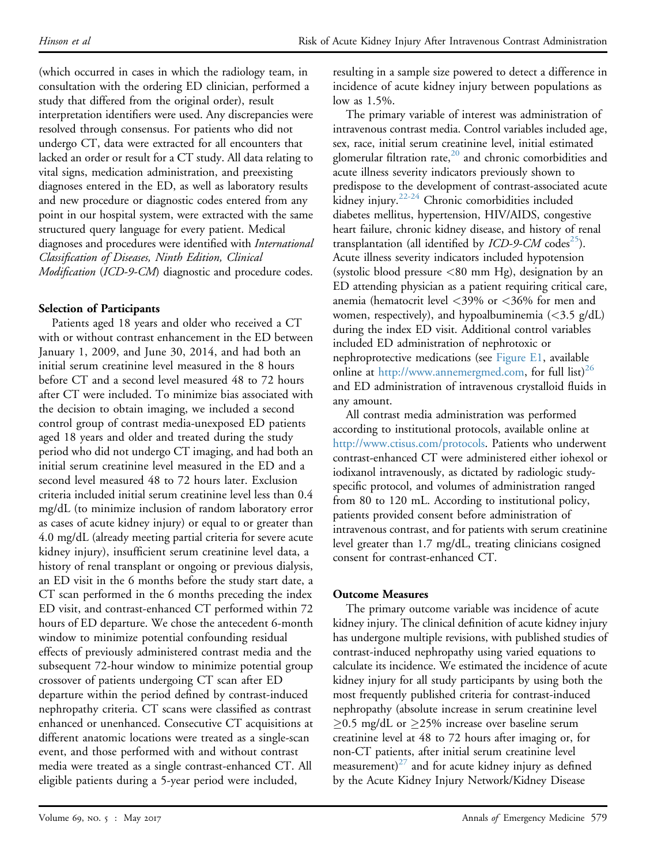(which occurred in cases in which the radiology team, in consultation with the ordering ED clinician, performed a study that differed from the original order), result interpretation identifiers were used. Any discrepancies were resolved through consensus. For patients who did not undergo CT, data were extracted for all encounters that lacked an order or result for a CT study. All data relating to vital signs, medication administration, and preexisting diagnoses entered in the ED, as well as laboratory results and new procedure or diagnostic codes entered from any point in our hospital system, were extracted with the same structured query language for every patient. Medical diagnoses and procedures were identified with International Classification of Diseases, Ninth Edition, Clinical Modification (ICD-9-CM) diagnostic and procedure codes.

# Selection of Participants

Patients aged 18 years and older who received a CT with or without contrast enhancement in the ED between January 1, 2009, and June 30, 2014, and had both an initial serum creatinine level measured in the 8 hours before CT and a second level measured 48 to 72 hours after CT were included. To minimize bias associated with the decision to obtain imaging, we included a second control group of contrast media-unexposed ED patients aged 18 years and older and treated during the study period who did not undergo CT imaging, and had both an initial serum creatinine level measured in the ED and a second level measured 48 to 72 hours later. Exclusion criteria included initial serum creatinine level less than 0.4 mg/dL (to minimize inclusion of random laboratory error as cases of acute kidney injury) or equal to or greater than 4.0 mg/dL (already meeting partial criteria for severe acute kidney injury), insufficient serum creatinine level data, a history of renal transplant or ongoing or previous dialysis, an ED visit in the 6 months before the study start date, a CT scan performed in the 6 months preceding the index ED visit, and contrast-enhanced CT performed within 72 hours of ED departure. We chose the antecedent 6-month window to minimize potential confounding residual effects of previously administered contrast media and the subsequent 72-hour window to minimize potential group crossover of patients undergoing CT scan after ED departure within the period defined by contrast-induced nephropathy criteria. CT scans were classified as contrast enhanced or unenhanced. Consecutive CT acquisitions at different anatomic locations were treated as a single-scan event, and those performed with and without contrast media were treated as a single contrast-enhanced CT. All eligible patients during a 5-year period were included,

resulting in a sample size powered to detect a difference in incidence of acute kidney injury between populations as low as 1.5%.

The primary variable of interest was administration of intravenous contrast media. Control variables included age, sex, race, initial serum creatinine level, initial estimated glomerular filtration rate, $20$  and chronic comorbidities and acute illness severity indicators previously shown to predispose to the development of contrast-associated acute kidney injury.[22-24](#page-9-10) Chronic comorbidities included diabetes mellitus, hypertension, HIV/AIDS, congestive heart failure, chronic kidney disease, and history of renal transplantation (all identified by  $\mathit{ICD-9-CM}$  codes<sup>25</sup>). Acute illness severity indicators included hypotension (systolic blood pressure <80 mm Hg), designation by an ED attending physician as a patient requiring critical care, anemia (hematocrit level <39% or <36% for men and women, respectively), and hypoalbuminemia  $\langle$  <3.5 g/dL) during the index ED visit. Additional control variables included ED administration of nephrotoxic or nephroprotective medications (see [Figure E1,](#page-10-0) available online at [http://www.annemergmed.com,](http://www.annemergmed.com) for full list)<sup>[26](#page-9-12)</sup> and ED administration of intravenous crystalloid fluids in any amount.

All contrast media administration was performed according to institutional protocols, available online at <http://www.ctisus.com/protocols>. Patients who underwent contrast-enhanced CT were administered either iohexol or iodixanol intravenously, as dictated by radiologic studyspecific protocol, and volumes of administration ranged from 80 to 120 mL. According to institutional policy, patients provided consent before administration of intravenous contrast, and for patients with serum creatinine level greater than 1.7 mg/dL, treating clinicians cosigned consent for contrast-enhanced CT.

# Outcome Measures

The primary outcome variable was incidence of acute kidney injury. The clinical definition of acute kidney injury has undergone multiple revisions, with published studies of contrast-induced nephropathy using varied equations to calculate its incidence. We estimated the incidence of acute kidney injury for all study participants by using both the most frequently published criteria for contrast-induced nephropathy (absolute increase in serum creatinine level  $\geq$ 0.5 mg/dL or  $\geq$ 25% increase over baseline serum creatinine level at 48 to 72 hours after imaging or, for non-CT patients, after initial serum creatinine level measurement) $27$  and for acute kidney injury as defined by the Acute Kidney Injury Network/Kidney Disease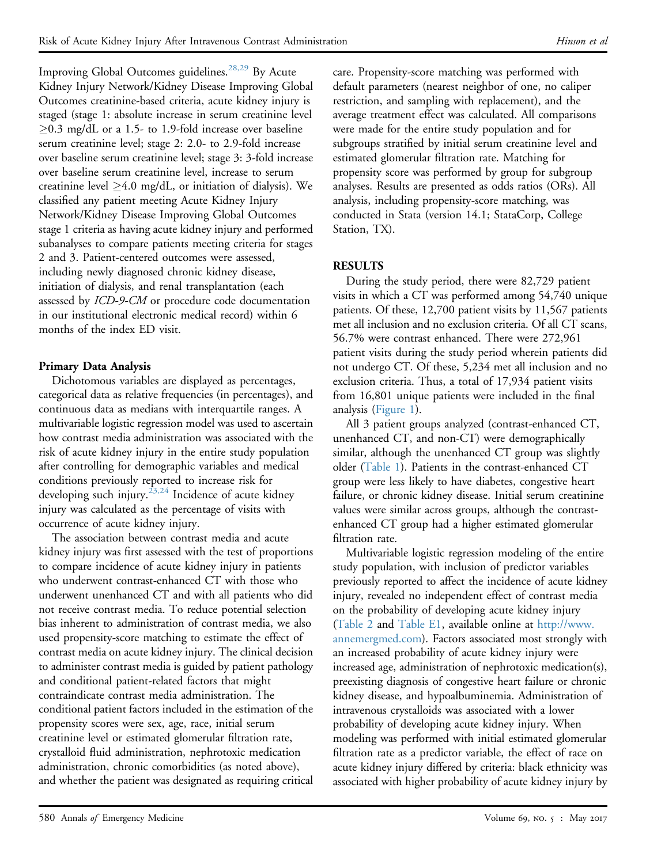Improving Global Outcomes guidelines.<sup>[28,29](#page-9-14)</sup> By Acute Kidney Injury Network/Kidney Disease Improving Global Outcomes creatinine-based criteria, acute kidney injury is staged (stage 1: absolute increase in serum creatinine level  $\geq$ 0.3 mg/dL or a 1.5- to 1.9-fold increase over baseline serum creatinine level; stage 2: 2.0- to 2.9-fold increase over baseline serum creatinine level; stage 3: 3-fold increase over baseline serum creatinine level, increase to serum creatinine level  $\geq$ 4.0 mg/dL, or initiation of dialysis). We classified any patient meeting Acute Kidney Injury Network/Kidney Disease Improving Global Outcomes stage 1 criteria as having acute kidney injury and performed subanalyses to compare patients meeting criteria for stages 2 and 3. Patient-centered outcomes were assessed, including newly diagnosed chronic kidney disease, initiation of dialysis, and renal transplantation (each assessed by ICD-9-CM or procedure code documentation in our institutional electronic medical record) within 6 months of the index ED visit.

# Primary Data Analysis

Dichotomous variables are displayed as percentages, categorical data as relative frequencies (in percentages), and continuous data as medians with interquartile ranges. A multivariable logistic regression model was used to ascertain how contrast media administration was associated with the risk of acute kidney injury in the entire study population after controlling for demographic variables and medical conditions previously reported to increase risk for developing such injury.<sup>23,24</sup> Incidence of acute kidney injury was calculated as the percentage of visits with occurrence of acute kidney injury.

The association between contrast media and acute kidney injury was first assessed with the test of proportions to compare incidence of acute kidney injury in patients who underwent contrast-enhanced CT with those who underwent unenhanced CT and with all patients who did not receive contrast media. To reduce potential selection bias inherent to administration of contrast media, we also used propensity-score matching to estimate the effect of contrast media on acute kidney injury. The clinical decision to administer contrast media is guided by patient pathology and conditional patient-related factors that might contraindicate contrast media administration. The conditional patient factors included in the estimation of the propensity scores were sex, age, race, initial serum creatinine level or estimated glomerular filtration rate, crystalloid fluid administration, nephrotoxic medication administration, chronic comorbidities (as noted above), and whether the patient was designated as requiring critical

care. Propensity-score matching was performed with default parameters (nearest neighbor of one, no caliper restriction, and sampling with replacement), and the average treatment effect was calculated. All comparisons were made for the entire study population and for subgroups stratified by initial serum creatinine level and estimated glomerular filtration rate. Matching for propensity score was performed by group for subgroup analyses. Results are presented as odds ratios (ORs). All analysis, including propensity-score matching, was conducted in Stata (version 14.1; StataCorp, College Station, TX).

# RESULTS

During the study period, there were 82,729 patient visits in which a CT was performed among 54,740 unique patients. Of these, 12,700 patient visits by 11,567 patients met all inclusion and no exclusion criteria. Of all CT scans, 56.7% were contrast enhanced. There were 272,961 patient visits during the study period wherein patients did not undergo CT. Of these, 5,234 met all inclusion and no exclusion criteria. Thus, a total of 17,934 patient visits from 16,801 unique patients were included in the final analysis [\(Figure 1\)](#page-4-0).

All 3 patient groups analyzed (contrast-enhanced CT, unenhanced CT, and non-CT) were demographically similar, although the unenhanced CT group was slightly older ([Table 1\)](#page-5-0). Patients in the contrast-enhanced CT group were less likely to have diabetes, congestive heart failure, or chronic kidney disease. Initial serum creatinine values were similar across groups, although the contrastenhanced CT group had a higher estimated glomerular filtration rate.

Multivariable logistic regression modeling of the entire study population, with inclusion of predictor variables previously reported to affect the incidence of acute kidney injury, revealed no independent effect of contrast media on the probability of developing acute kidney injury ([Table 2](#page-6-0) and [Table E1](#page-11-0), available online at [http://www.](http://www.annemergmed.com) [annemergmed.com\)](http://www.annemergmed.com). Factors associated most strongly with an increased probability of acute kidney injury were increased age, administration of nephrotoxic medication(s), preexisting diagnosis of congestive heart failure or chronic kidney disease, and hypoalbuminemia. Administration of intravenous crystalloids was associated with a lower probability of developing acute kidney injury. When modeling was performed with initial estimated glomerular filtration rate as a predictor variable, the effect of race on acute kidney injury differed by criteria: black ethnicity was associated with higher probability of acute kidney injury by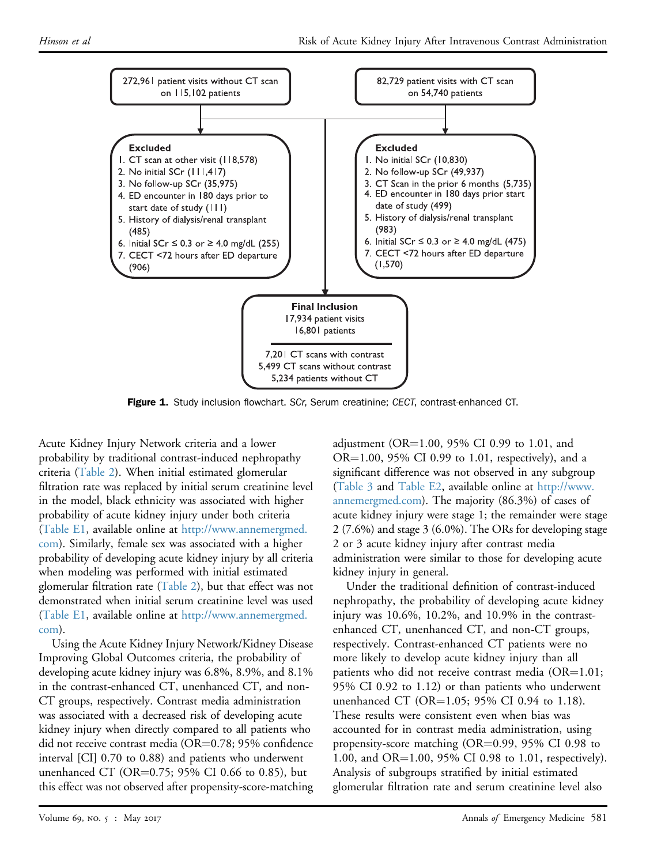<span id="page-4-0"></span>

Figure 1. Study inclusion flowchart. SCr, Serum creatinine; CECT, contrast-enhanced CT.

Acute Kidney Injury Network criteria and a lower probability by traditional contrast-induced nephropathy criteria ([Table 2\)](#page-6-0). When initial estimated glomerular filtration rate was replaced by initial serum creatinine level in the model, black ethnicity was associated with higher probability of acute kidney injury under both criteria [\(Table E1,](#page-11-0) available online at [http://www.annemergmed.](http://www.annemergmed.com) [com](http://www.annemergmed.com)). Similarly, female sex was associated with a higher probability of developing acute kidney injury by all criteria when modeling was performed with initial estimated glomerular filtration rate [\(Table 2](#page-6-0)), but that effect was not demonstrated when initial serum creatinine level was used [\(Table E1,](#page-11-0) available online at [http://www.annemergmed.](http://www.annemergmed.com) [com](http://www.annemergmed.com)).

Using the Acute Kidney Injury Network/Kidney Disease Improving Global Outcomes criteria, the probability of developing acute kidney injury was 6.8%, 8.9%, and 8.1% in the contrast-enhanced CT, unenhanced CT, and non-CT groups, respectively. Contrast media administration was associated with a decreased risk of developing acute kidney injury when directly compared to all patients who did not receive contrast media (OR $=$ 0.78; 95% confidence interval [CI] 0.70 to 0.88) and patients who underwent unenhanced CT (OR=0.75; 95% CI 0.66 to 0.85), but this effect was not observed after propensity-score-matching

adjustment (OR=1.00, 95% CI 0.99 to 1.01, and  $OR=1.00$ , 95% CI 0.99 to 1.01, respectively), and a significant difference was not observed in any subgroup ([Table 3](#page-7-0) and [Table E2](#page-12-0), available online at [http://www.](http://www.annemergmed.com) [annemergmed.com\)](http://www.annemergmed.com). The majority (86.3%) of cases of acute kidney injury were stage 1; the remainder were stage 2 (7.6%) and stage 3 (6.0%). The ORs for developing stage 2 or 3 acute kidney injury after contrast media administration were similar to those for developing acute kidney injury in general.

Under the traditional definition of contrast-induced nephropathy, the probability of developing acute kidney injury was 10.6%, 10.2%, and 10.9% in the contrastenhanced CT, unenhanced CT, and non-CT groups, respectively. Contrast-enhanced CT patients were no more likely to develop acute kidney injury than all patients who did not receive contrast media ( $OR=1.01$ ; 95% CI 0.92 to 1.12) or than patients who underwent unenhanced CT (OR=1.05; 95% CI 0.94 to 1.18). These results were consistent even when bias was accounted for in contrast media administration, using propensity-score matching  $(OR=0.99, 95\% \text{ CI } 0.98 \text{ to } 0.98)$ 1.00, and OR=1.00, 95% CI 0.98 to 1.01, respectively). Analysis of subgroups stratified by initial estimated glomerular filtration rate and serum creatinine level also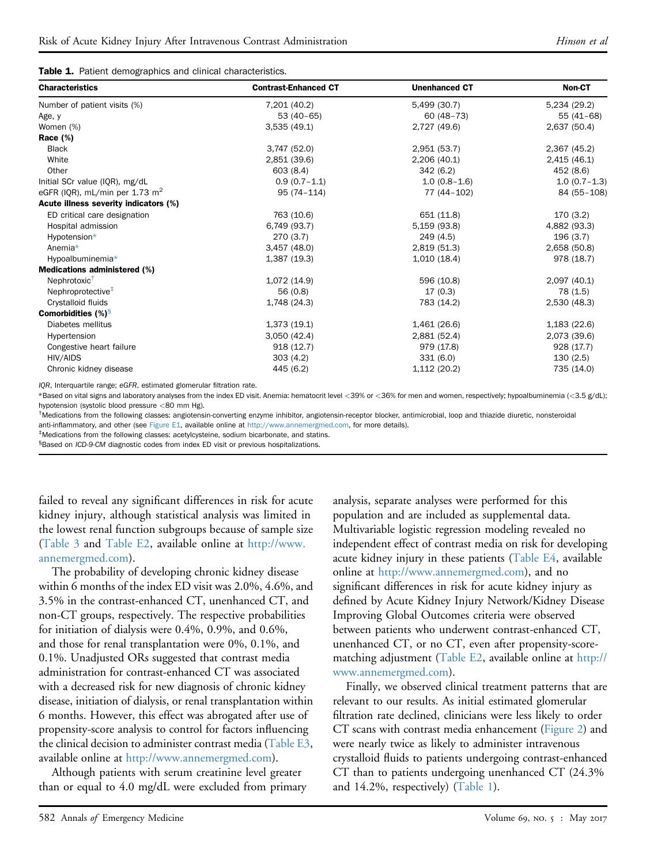|  | Table 1. Patient demographics and clinical characteristics. |  |  |
|--|-------------------------------------------------------------|--|--|
|--|-------------------------------------------------------------|--|--|

| <b>Characteristics</b>                     | <b>Contrast-Enhanced CT</b> | <b>Unenhanced CT</b> | Non-CT         |
|--------------------------------------------|-----------------------------|----------------------|----------------|
| Number of patient visits (%)               | 7,201 (40.2)                | 5,499 (30.7)         | 5,234 (29.2)   |
| Age, y                                     | $53(40-65)$                 | $60(48-73)$          | 55 (41-68)     |
| Women (%)                                  | 3,535(49.1)                 | 2,727 (49.6)         | 2,637 (50.4)   |
| Race $(\%)$                                |                             |                      |                |
| <b>Black</b>                               | 3,747 (52.0)                | 2,951 (53.7)         | 2,367 (45.2)   |
| White                                      | 2,851 (39.6)                | 2,206(40.1)          | 2,415(46.1)    |
| Other                                      | 603 (8.4)                   | 342(6.2)             | 452 (8.6)      |
| Initial SCr value (IQR), mg/dL             | $0.9(0.7 - 1.1)$            | $1.0(0.8-1.6)$       | $1.0(0.7-1.3)$ |
| eGFR (IQR), mL/min per 1.73 m <sup>2</sup> | $95(74 - 114)$              | 77 (44-102)          | 84 (55-108)    |
| Acute illness severity indicators (%)      |                             |                      |                |
| ED critical care designation               | 763 (10.6)                  | 651 (11.8)           | 170(3.2)       |
| Hospital admission                         | 6,749 (93.7)                | 5,159 (93.8)         | 4,882 (93.3)   |
| Hypotension*                               | 270(3.7)                    | 249 (4.5)            | 196(3.7)       |
| Anemia*                                    | 3,457(48.0)                 | 2,819 (51.3)         | 2,658 (50.8)   |
| Hypoalbuminemia*                           | 1,387 (19.3)                | 1,010(18.4)          | 978 (18.7)     |
| Medications administered (%)               |                             |                      |                |
| Nephrotoxic <sup>T</sup>                   | 1,072 (14.9)                | 596 (10.8)           | 2,097 (40.1)   |
| Nephroprotective <sup>‡</sup>              | 56 (0.8)                    | 17(0.3)              | 78 (1.5)       |
| Crystalloid fluids                         | 1,748 (24.3)                | 783 (14.2)           | 2,530 (48.3)   |
| <b>Comorbidities</b> $(\%)^5$              |                             |                      |                |
| Diabetes mellitus                          | 1,373(19.1)                 | 1,461 (26.6)         | 1,183 (22.6)   |
| Hypertension                               | 3,050(42.4)                 | 2,881 (52.4)         | 2,073 (39.6)   |
| Congestive heart failure                   | 918(12.7)                   | 979 (17.8)           | 928 (17.7)     |
| HIV/AIDS                                   | 303(4.2)                    | 331(6.0)             | 130(2.5)       |
| Chronic kidney disease                     | 445 (6.2)                   | 1,112 (20.2)         | 735 (14.0)     |

<span id="page-5-0"></span>IQR, Interquartile range; eGFR, estimated glomerular filtration rate.

<span id="page-5-1"></span>\*Based on vital signs and laboratory analyses from the index ED visit. Anemia: hematocrit level <39% or <36% for men and women, respectively; hypoalbuminemia (<3.5 g/dL); hypotension (systolic blood pressure <80 mm Hg).

<span id="page-5-2"></span><sup>†</sup>Medications from the following classes: angiotensin-converting enzyme inhibitor, angiotensin-receptor blocker, antimicrobial, loop and thiazide diuretic, nonsteroidal anti-inflammatory, and other (see [Figure E1,](#page-10-0) available online at [http://www.annemergmed.com,](http://www.annemergmed.com) for more details).

<span id="page-5-3"></span>‡ Medications from the following classes: acetylcysteine, sodium bicarbonate, and statins.

<span id="page-5-4"></span><sup>§</sup>Based on ICD-9-CM diagnostic codes from index ED visit or previous hospitalizations.

failed to reveal any significant differences in risk for acute kidney injury, although statistical analysis was limited in the lowest renal function subgroups because of sample size [\(Table 3](#page-7-0) and [Table E2,](#page-12-0) available online at [http://www.](http://www.annemergmed.com) [annemergmed.com\)](http://www.annemergmed.com).

The probability of developing chronic kidney disease within 6 months of the index ED visit was 2.0%, 4.6%, and 3.5% in the contrast-enhanced CT, unenhanced CT, and non-CT groups, respectively. The respective probabilities for initiation of dialysis were 0.4%, 0.9%, and 0.6%, and those for renal transplantation were 0%, 0.1%, and 0.1%. Unadjusted ORs suggested that contrast media administration for contrast-enhanced CT was associated with a decreased risk for new diagnosis of chronic kidney disease, initiation of dialysis, or renal transplantation within 6 months. However, this effect was abrogated after use of propensity-score analysis to control for factors influencing the clinical decision to administer contrast media ([Table E3,](#page-13-0) available online at <http://www.annemergmed.com>).

Although patients with serum creatinine level greater than or equal to 4.0 mg/dL were excluded from primary analysis, separate analyses were performed for this population and are included as supplemental data. Multivariable logistic regression modeling revealed no independent effect of contrast media on risk for developing acute kidney injury in these patients [\(Table E4](#page-13-1), available online at [http://www.annemergmed.com\)](http://www.annemergmed.com), and no significant differences in risk for acute kidney injury as defined by Acute Kidney Injury Network/Kidney Disease Improving Global Outcomes criteria were observed between patients who underwent contrast-enhanced CT, unenhanced CT, or no CT, even after propensity-scorematching adjustment ([Table E2,](#page-12-0) available online at [http://](http://www.annemergmed.com) [www.annemergmed.com](http://www.annemergmed.com)).

Finally, we observed clinical treatment patterns that are relevant to our results. As initial estimated glomerular filtration rate declined, clinicians were less likely to order CT scans with contrast media enhancement ([Figure 2](#page-8-0)) and were nearly twice as likely to administer intravenous crystalloid fluids to patients undergoing contrast-enhanced CT than to patients undergoing unenhanced CT (24.3% and 14.2%, respectively) ([Table 1\)](#page-5-0).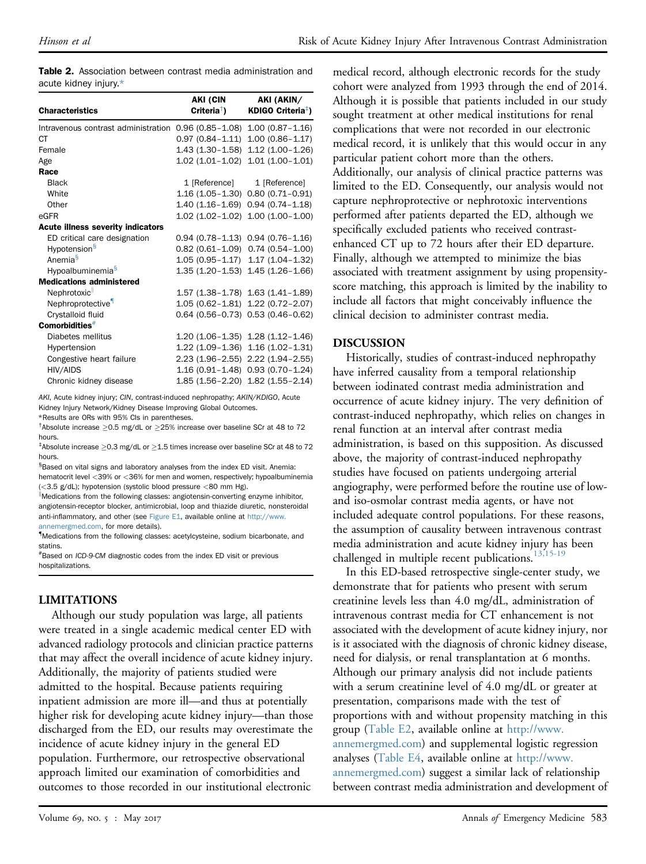|  |                       |  | <b>Table 2.</b> Association between contrast media administration and |  |
|--|-----------------------|--|-----------------------------------------------------------------------|--|
|  | acute kidney injury.* |  |                                                                       |  |

| <b>Characteristics</b>                                                | <b>AKI (CIN</b><br>Criteria <sup>†</sup> ) | AKI (AKIN/<br>KDIGO Criteria <sup>‡</sup> ) |
|-----------------------------------------------------------------------|--------------------------------------------|---------------------------------------------|
|                                                                       |                                            |                                             |
| Intravenous contrast administration 0.96 (0.85-1.08) 1.00 (0.87-1.16) |                                            |                                             |
| СT                                                                    | $0.97(0.84 - 1.11)$                        | $1.00(0.86 - 1.17)$                         |
| Female                                                                | 1.43 (1.30–1.58)                           | $1.12(1.00-1.26)$                           |
| Age                                                                   | $1.02(1.01 - 1.02)$                        | $1.01(1.00 - 1.01)$                         |
| Race                                                                  |                                            |                                             |
| <b>Black</b>                                                          |                                            | 1 [Reference] 1 [Reference]                 |
| White                                                                 |                                            | 1.16 (1.05-1.30) 0.80 (0.71-0.91)           |
| Other                                                                 |                                            | $1.40(1.16-1.69)$ 0.94 $(0.74-1.18)$        |
| eGFR                                                                  |                                            | $1.02$ (1.02-1.02) $1.00$ (1.00-1.00)       |
| <b>Acute illness severity indicators</b>                              |                                            |                                             |
| ED critical care designation                                          |                                            | $0.94$ (0.78-1.13) $0.94$ (0.76-1.16)       |
| Hypotension <sup>§</sup>                                              | $0.82(0.61 - 1.09)$                        | $0.74(0.54 - 1.00)$                         |
| Anemia <sup>§</sup>                                                   | $1.05(0.95 - 1.17)$                        | $1.17(1.04 - 1.32)$                         |
| Hypoalbuminemia <sup>§</sup>                                          | 1.35 (1.20–1.53)                           | $1.45(1.26 - 1.66)$                         |
| <b>Medications administered</b>                                       |                                            |                                             |
| Nephrotoxic                                                           |                                            | 1.57 (1.38-1.78) 1.63 (1.41-1.89)           |
| Nephroprotective                                                      |                                            | 1.05 (0.62-1.81) 1.22 (0.72-2.07)           |
| Crystalloid fluid                                                     |                                            | $0.64$ (0.56-0.73) $0.53$ (0.46-0.62)       |
| Comorbidities <sup>#</sup>                                            |                                            |                                             |
| Diabetes mellitus                                                     |                                            | $1.20$ (1.06-1.35) $1.28$ (1.12-1.46)       |
| Hypertension                                                          |                                            | $1.22$ (1.09-1.36) $1.16$ (1.02-1.31)       |
| Congestive heart failure                                              |                                            | 2.23 (1.96-2.55) 2.22 (1.94-2.55)           |
| HIV/AIDS                                                              |                                            | 1.16 (0.91-1.48) 0.93 (0.70-1.24)           |
| Chronic kidney disease                                                |                                            | 1.85 (1.56-2.20) 1.82 (1.55-2.14)           |

<span id="page-6-0"></span>AKI, Acute kidney injury; CIN, contrast-induced nephropathy; AKIN/KDIGO, Acute Kidney Injury Network/Kidney Disease Improving Global Outcomes.

<span id="page-6-1"></span>\*Results are ORs with 95% CIs in parentheses.

<span id="page-6-2"></span><sup>†</sup>Absolute increase  $\geq$ 0.5 mg/dL or  $\geq$ 25% increase over baseline SCr at 48 to 72 hours.

<span id="page-6-3"></span> $^{\ddagger}$ Absolute increase  $\geq$ 0.3 mg/dL or  $\geq$ 1.5 times increase over baseline SCr at 48 to 72 hours.

<span id="page-6-4"></span>§ Based on vital signs and laboratory analyses from the index ED visit. Anemia: hematocrit level <39% or <36% for men and women, respectively; hypoalbuminemia (<3.5 g/dL); hypotension (systolic blood pressure <80 mm Hg).

IMedications from the following classes: angiotensin-converting enzyme inhibitor, angiotensin-receptor blocker, antimicrobial, loop and thiazide diuretic, nonsteroidal anti-inflammatory, and other (see [Figure E1,](#page-10-0) available online at [http://www.](http://www.annemergmed.com) [annemergmed.com,](http://www.annemergmed.com) for more details).

{ Medications from the following classes: acetylcysteine, sodium bicarbonate, and statins.

<span id="page-6-5"></span># Based on ICD-9-CM diagnostic codes from the index ED visit or previous hospitalizations.

# LIMITATIONS

Although our study population was large, all patients were treated in a single academic medical center ED with advanced radiology protocols and clinician practice patterns that may affect the overall incidence of acute kidney injury. Additionally, the majority of patients studied were admitted to the hospital. Because patients requiring inpatient admission are more ill—and thus at potentially higher risk for developing acute kidney injury—than those discharged from the ED, our results may overestimate the incidence of acute kidney injury in the general ED population. Furthermore, our retrospective observational approach limited our examination of comorbidities and outcomes to those recorded in our institutional electronic

medical record, although electronic records for the study cohort were analyzed from 1993 through the end of 2014. Although it is possible that patients included in our study sought treatment at other medical institutions for renal complications that were not recorded in our electronic medical record, it is unlikely that this would occur in any particular patient cohort more than the others. Additionally, our analysis of clinical practice patterns was limited to the ED. Consequently, our analysis would not capture nephroprotective or nephrotoxic interventions performed after patients departed the ED, although we specifically excluded patients who received contrastenhanced CT up to 72 hours after their ED departure. Finally, although we attempted to minimize the bias associated with treatment assignment by using propensityscore matching, this approach is limited by the inability to include all factors that might conceivably influence the clinical decision to administer contrast media.

## DISCUSSION

Historically, studies of contrast-induced nephropathy have inferred causality from a temporal relationship between iodinated contrast media administration and occurrence of acute kidney injury. The very definition of contrast-induced nephropathy, which relies on changes in renal function at an interval after contrast media administration, is based on this supposition. As discussed above, the majority of contrast-induced nephropathy studies have focused on patients undergoing arterial angiography, were performed before the routine use of lowand iso-osmolar contrast media agents, or have not included adequate control populations. For these reasons, the assumption of causality between intravenous contrast media administration and acute kidney injury has been challenged in multiple recent publications.<sup>[13,15-19](#page-9-4)</sup>

In this ED-based retrospective single-center study, we demonstrate that for patients who present with serum creatinine levels less than 4.0 mg/dL, administration of intravenous contrast media for CT enhancement is not associated with the development of acute kidney injury, nor is it associated with the diagnosis of chronic kidney disease, need for dialysis, or renal transplantation at 6 months. Although our primary analysis did not include patients with a serum creatinine level of 4.0 mg/dL or greater at presentation, comparisons made with the test of proportions with and without propensity matching in this group [\(Table E2,](#page-12-0) available online at [http://www.](http://www.annemergmed.com) [annemergmed.com\)](http://www.annemergmed.com) and supplemental logistic regression analyses ([Table E4](#page-13-1), available online at [http://www.](http://www.annemergmed.com) [annemergmed.com\)](http://www.annemergmed.com) suggest a similar lack of relationship between contrast media administration and development of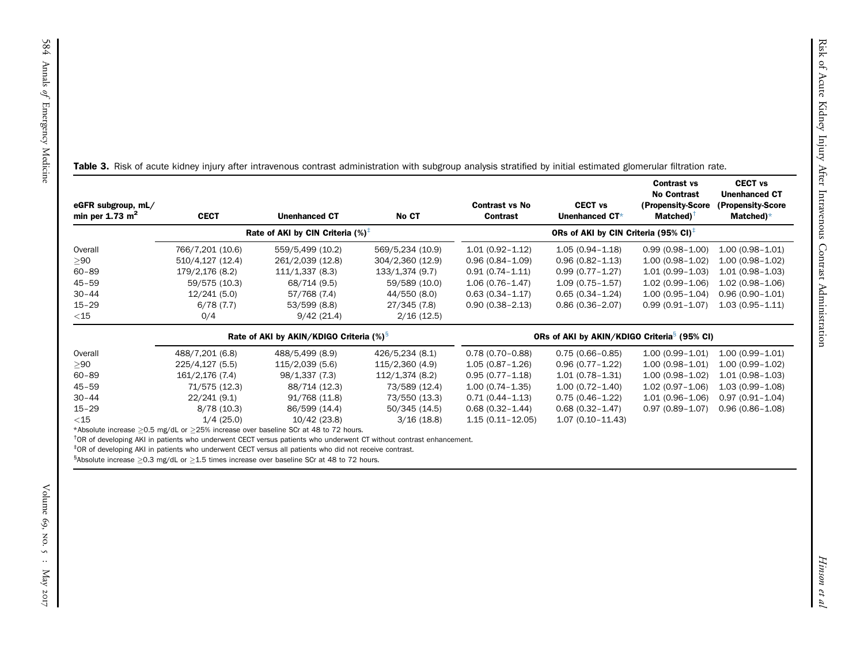<span id="page-7-0"></span>

| eGFR subgroup, mL/<br>min per $1.73 \text{ m}^2$ | <b>CECT</b>                                   | <b>Unenhanced CT</b>                                                                                                                                                                                                                                                                                                                                     | No CT                                | <b>Contrast vs No</b><br><b>Contrast</b>   | <b>CECT vs</b><br>Unenhanced CT*                                | <b>Contrast vs</b><br><b>No Contrast</b><br>(Propensity-Score<br>Matched) <sup>+</sup> | <b>CECT vs</b><br><b>Unenhanced CT</b><br>(Propensity-Score<br>Matched) $*$ |
|--------------------------------------------------|-----------------------------------------------|----------------------------------------------------------------------------------------------------------------------------------------------------------------------------------------------------------------------------------------------------------------------------------------------------------------------------------------------------------|--------------------------------------|--------------------------------------------|-----------------------------------------------------------------|----------------------------------------------------------------------------------------|-----------------------------------------------------------------------------|
|                                                  | Rate of AKI by CIN Criteria $(\%)^{\ddagger}$ |                                                                                                                                                                                                                                                                                                                                                          |                                      |                                            | ORs of AKI by CIN Criteria (95% CI) <sup><math>\pm</math></sup> |                                                                                        |                                                                             |
| Overall<br>> 90                                  | 766/7,201 (10.6)<br>510/4,127 (12.4)          | 559/5,499 (10.2)<br>261/2,039 (12.8)                                                                                                                                                                                                                                                                                                                     | 569/5,234 (10.9)<br>304/2,360 (12.9) | $1.01(0.92 - 1.12)$<br>$0.96(0.84 - 1.09)$ | $1.05(0.94 - 1.18)$<br>$0.96(0.82 - 1.13)$                      | $0.99(0.98 - 1.00)$<br>$1.00(0.98 - 1.02)$                                             | $1.00(0.98 - 1.01)$<br>$1.00(0.98 - 1.02)$                                  |
| $60 - 89$                                        | 179/2,176 (8.2)                               | 111/1,337 (8.3)                                                                                                                                                                                                                                                                                                                                          | 133/1,374 (9.7)                      | $0.91(0.74 - 1.11)$                        | $0.99(0.77 - 1.27)$                                             | $1.01(0.99 - 1.03)$                                                                    | $1.01(0.98 - 1.03)$                                                         |
| $45 - 59$                                        | 59/575 (10.3)                                 | 68/714 (9.5)                                                                                                                                                                                                                                                                                                                                             | 59/589 (10.0)                        | $1.06(0.76 - 1.47)$                        | $1.09(0.75 - 1.57)$                                             | $1.02(0.99 - 1.06)$                                                                    | $1.02(0.98 - 1.06)$                                                         |
| $30 - 44$                                        | 12/241(5.0)                                   | 57/768 (7.4)                                                                                                                                                                                                                                                                                                                                             | 44/550 (8.0)                         | $0.63(0.34 - 1.17)$                        | $0.65(0.34 - 1.24)$                                             | $1.00(0.95 - 1.04)$                                                                    | $0.96(0.90 - 1.01)$                                                         |
| $15 - 29$                                        | 6/78(7.7)                                     | 53/599 (8.8)                                                                                                                                                                                                                                                                                                                                             | 27/345 (7.8)                         | $0.90(0.38 - 2.13)$                        | $0.86(0.36 - 2.07)$                                             | $0.99(0.91 - 1.07)$                                                                    | $1.03(0.95 - 1.11)$                                                         |
| $<$ 15                                           | 0/4                                           | 9/42(21.4)                                                                                                                                                                                                                                                                                                                                               | 2/16(12.5)                           |                                            |                                                                 |                                                                                        |                                                                             |
|                                                  |                                               | Rate of AKI by AKIN/KDIGO Criteria (%) <sup>§</sup>                                                                                                                                                                                                                                                                                                      |                                      |                                            | ORs of AKI by AKIN/KDIGO Criteria <sup>§</sup> (95% CI)         |                                                                                        |                                                                             |
| Overall                                          | 488/7,201 (6.8)                               | 488/5,499 (8.9)                                                                                                                                                                                                                                                                                                                                          | 426/5,234 (8.1)                      | $0.78(0.70-0.88)$                          | $0.75(0.66 - 0.85)$                                             | $1.00(0.99 - 1.01)$                                                                    | $1.00(0.99 - 1.01)$                                                         |
| > 90                                             | 225/4,127 (5.5)                               | 115/2,039 (5.6)                                                                                                                                                                                                                                                                                                                                          | 115/2,360 (4.9)                      | $1.05(0.87 - 1.26)$                        | $0.96(0.77 - 1.22)$                                             | $1.00(0.98 - 1.01)$                                                                    | $1.00(0.99 - 1.02)$                                                         |
| $60 - 89$                                        | 161/2,176 (7.4)                               | 98/1,337 (7.3)                                                                                                                                                                                                                                                                                                                                           | 112/1,374(8.2)                       | $0.95(0.77 - 1.18)$                        | $1.01(0.78 - 1.31)$                                             | $1.00(0.98 - 1.02)$                                                                    | $1.01(0.98 - 1.03)$                                                         |
| $45 - 59$                                        | 71/575 (12.3)                                 | 88/714 (12.3)                                                                                                                                                                                                                                                                                                                                            | 73/589 (12.4)                        | $1.00(0.74 - 1.35)$                        | $1.00(0.72 - 1.40)$                                             | $1.02(0.97 - 1.06)$                                                                    | $1.03(0.99 - 1.08)$                                                         |
| $30 - 44$                                        | 22/241 (9.1)                                  | 91/768 (11.8)                                                                                                                                                                                                                                                                                                                                            | 73/550 (13.3)                        | $0.71(0.44 - 1.13)$                        | $0.75(0.46 - 1.22)$                                             | $1.01(0.96 - 1.06)$                                                                    | $0.97(0.91 - 1.04)$                                                         |
| $15 - 29$                                        | 8/78(10.3)                                    | 86/599 (14.4)                                                                                                                                                                                                                                                                                                                                            | 50/345 (14.5)                        | $0.68(0.32 - 1.44)$                        | $0.68(0.32 - 1.47)$                                             | $0.97(0.89 - 1.07)$                                                                    | $0.96(0.86 - 1.08)$                                                         |
| $<$ 15                                           | 1/4(25.0)                                     | 10/42 (23.8)                                                                                                                                                                                                                                                                                                                                             | 3/16(18.8)                           | $1.15(0.11 - 12.05)$                       | $1.07(0.10 - 11.43)$                                            |                                                                                        |                                                                             |
|                                                  |                                               | *Absolute increase $\geq$ 0.5 mg/dL or $\geq$ 25% increase over baseline SCr at 48 to 72 hours.<br><sup>†</sup> OR of developing AKI in patients who underwent CECT versus patients who underwent CT without contrast enhancement.<br><sup>‡</sup> OR of developing AKI in patients who underwent CECT versus all patients who did not receive contrast. |                                      |                                            |                                                                 |                                                                                        |                                                                             |

<span id="page-7-4"></span><span id="page-7-3"></span><span id="page-7-2"></span><span id="page-7-1"></span>

|    | Rate of AKI by AKIN/KDIGO Criteria (%) <sup>§</sup> |                 |                 | ORs of AKI by AKIN/KDIGO Criteria <sup>s</sup> (95% CI) |                      |                     |                     |
|----|-----------------------------------------------------|-----------------|-----------------|---------------------------------------------------------|----------------------|---------------------|---------------------|
| aШ | 488/7,201 (6.8)                                     | 488/5,499 (8.9) | 426/5,234 (8.1) | $0.78(0.70 - 0.88)$                                     | $0.75(0.66 - 0.85)$  | $1.00(0.99 - 1.01)$ | $1.00(0.99 - 1.01)$ |
|    | 225/4,127 (5.5)                                     | 115/2,039 (5.6) | 115/2,360 (4.9) | $1.05(0.87 - 1.26)$                                     | $0.96(0.77 - 1.22)$  | $1.00(0.98 - 1.01)$ | $1.00(0.99 - 1.02)$ |
| 39 | 161/2,176 (7.4)                                     | 98/1,337 (7.3)  | 112/1,374 (8.2) | $0.95(0.77 - 1.18)$                                     | $1.01(0.78 - 1.31)$  | $1.00(0.98-1.02)$   | $1.01(0.98 - 1.03)$ |
|    | 71/575 (12.3)                                       | 88/714 (12.3)   | 73/589 (12.4)   | $1.00(0.74 - 1.35)$                                     | $1.00(0.72 - 1.40)$  | $1.02(0.97 - 1.06)$ | $1.03(0.99 - 1.08)$ |
| ١4 | 22/241 (9.1)                                        | 91/768 (11.8)   | 73/550 (13.3)   | $0.71(0.44 - 1.13)$                                     | $0.75(0.46 - 1.22)$  | $1.01(0.96 - 1.06)$ | $0.97(0.91 - 1.04)$ |
|    | 8/78(10.3)                                          | 86/599 (14.4)   | 50/345 (14.5)   | $0.68(0.32 - 1.44)$                                     | $0.68(0.32 - 1.47)$  | $0.97(0.89 - 1.07)$ | $0.96(0.86 - 1.08)$ |
|    | 1/4(25.0)                                           | 10/42 (23.8)    | 3/16(18.8)      | $1.15(0.11 - 12.05)$                                    | $1.07(0.10 - 11.43)$ |                     |                     |
|    |                                                     |                 |                 |                                                         |                      |                     |                     |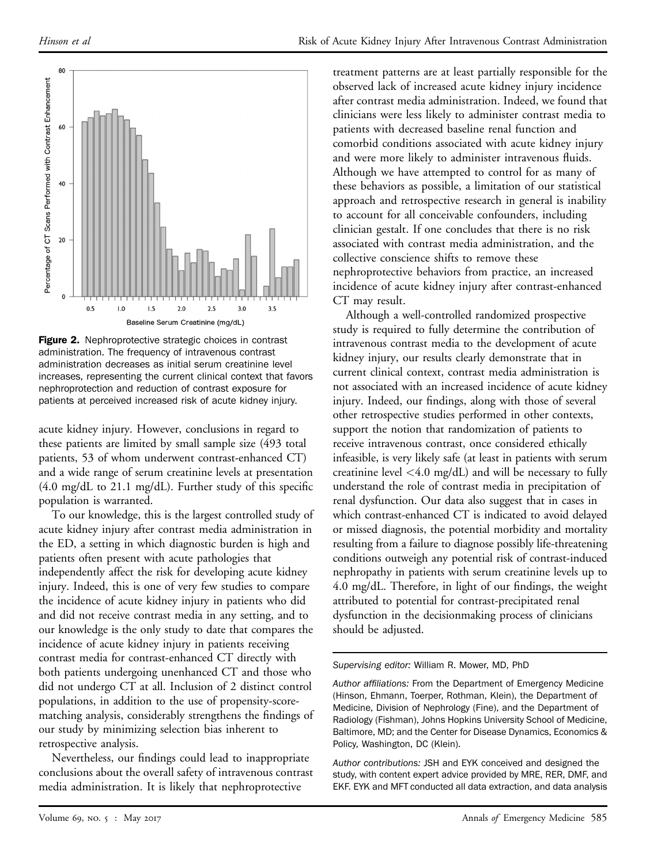<span id="page-8-0"></span>

**Figure 2.** Nephroprotective strategic choices in contrast administration. The frequency of intravenous contrast administration decreases as initial serum creatinine level increases, representing the current clinical context that favors nephroprotection and reduction of contrast exposure for patients at perceived increased risk of acute kidney injury.

acute kidney injury. However, conclusions in regard to these patients are limited by small sample size (493 total patients, 53 of whom underwent contrast-enhanced CT) and a wide range of serum creatinine levels at presentation  $(4.0 \text{ mg/dL to } 21.1 \text{ mg/dL})$ . Further study of this specific population is warranted.

To our knowledge, this is the largest controlled study of acute kidney injury after contrast media administration in the ED, a setting in which diagnostic burden is high and patients often present with acute pathologies that independently affect the risk for developing acute kidney injury. Indeed, this is one of very few studies to compare the incidence of acute kidney injury in patients who did and did not receive contrast media in any setting, and to our knowledge is the only study to date that compares the incidence of acute kidney injury in patients receiving contrast media for contrast-enhanced CT directly with both patients undergoing unenhanced CT and those who did not undergo CT at all. Inclusion of 2 distinct control populations, in addition to the use of propensity-scorematching analysis, considerably strengthens the findings of our study by minimizing selection bias inherent to retrospective analysis.

Nevertheless, our findings could lead to inappropriate conclusions about the overall safety of intravenous contrast media administration. It is likely that nephroprotective

treatment patterns are at least partially responsible for the observed lack of increased acute kidney injury incidence after contrast media administration. Indeed, we found that clinicians were less likely to administer contrast media to patients with decreased baseline renal function and comorbid conditions associated with acute kidney injury and were more likely to administer intravenous fluids. Although we have attempted to control for as many of these behaviors as possible, a limitation of our statistical approach and retrospective research in general is inability to account for all conceivable confounders, including clinician gestalt. If one concludes that there is no risk associated with contrast media administration, and the collective conscience shifts to remove these nephroprotective behaviors from practice, an increased incidence of acute kidney injury after contrast-enhanced CT may result.

Although a well-controlled randomized prospective study is required to fully determine the contribution of intravenous contrast media to the development of acute kidney injury, our results clearly demonstrate that in current clinical context, contrast media administration is not associated with an increased incidence of acute kidney injury. Indeed, our findings, along with those of several other retrospective studies performed in other contexts, support the notion that randomization of patients to receive intravenous contrast, once considered ethically infeasible, is very likely safe (at least in patients with serum creatinine level  $\langle 4.0 \text{ mg/dL} \rangle$  and will be necessary to fully understand the role of contrast media in precipitation of renal dysfunction. Our data also suggest that in cases in which contrast-enhanced CT is indicated to avoid delayed or missed diagnosis, the potential morbidity and mortality resulting from a failure to diagnose possibly life-threatening conditions outweigh any potential risk of contrast-induced nephropathy in patients with serum creatinine levels up to 4.0 mg/dL. Therefore, in light of our findings, the weight attributed to potential for contrast-precipitated renal dysfunction in the decisionmaking process of clinicians should be adjusted.

Supervising editor: William R. Mower, MD, PhD

Author affiliations: From the Department of Emergency Medicine (Hinson, Ehmann, Toerper, Rothman, Klein), the Department of Medicine, Division of Nephrology (Fine), and the Department of Radiology (Fishman), Johns Hopkins University School of Medicine, Baltimore, MD; and the Center for Disease Dynamics, Economics & Policy, Washington, DC (Klein).

Author contributions: JSH and EYK conceived and designed the study, with content expert advice provided by MRE, RER, DMF, and EKF. EYK and MFT conducted all data extraction, and data analysis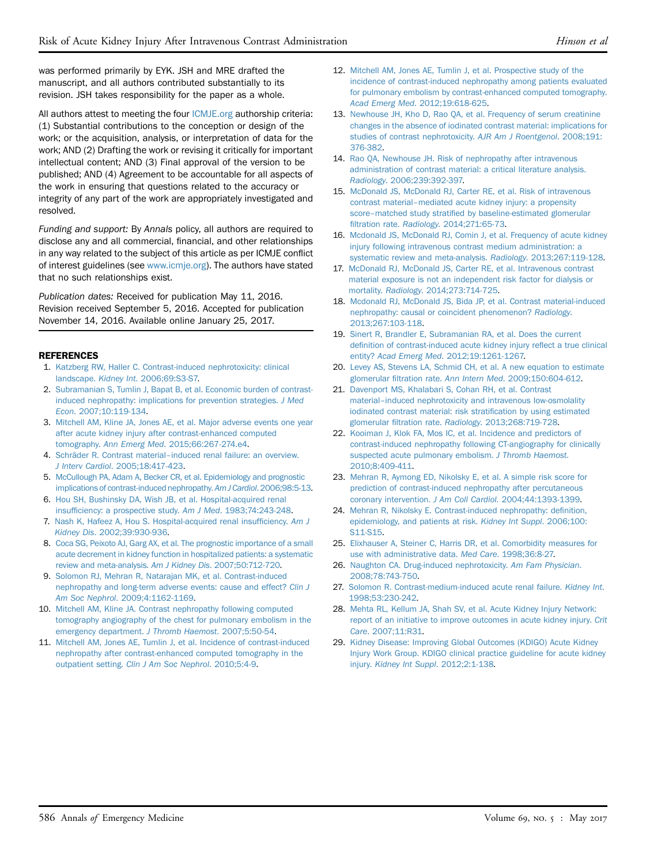was performed primarily by EYK. JSH and MRE drafted the manuscript, and all authors contributed substantially to its revision. JSH takes responsibility for the paper as a whole.

All authors attest to meeting the four [ICMJE.org](http://ICMJE.org) authorship criteria: (1) Substantial contributions to the conception or design of the work; or the acquisition, analysis, or interpretation of data for the work; AND (2) Drafting the work or revising it critically for important intellectual content; AND (3) Final approval of the version to be published; AND (4) Agreement to be accountable for all aspects of the work in ensuring that questions related to the accuracy or integrity of any part of the work are appropriately investigated and resolved.

Funding and support: By Annals policy, all authors are required to disclose any and all commercial, financial, and other relationships in any way related to the subject of this article as per ICMJE conflict of interest guidelines (see [www.icmje.org\)](http://www.icmje.org/). The authors have stated that no such relationships exist.

Publication dates: Received for publication May 11, 2016. Revision received September 5, 2016. Accepted for publication November 14, 2016. Available online January 25, 2017.

### <span id="page-9-0"></span>**REFERENCES**

- 1. [Katzberg RW, Haller C. Contrast-induced nephrotoxicity: clinical](http://refhub.elsevier.com/S0196-0644(16)31388-9/sref1) landscape. Kidney Int[. 2006;69:S3-S7.](http://refhub.elsevier.com/S0196-0644(16)31388-9/sref1)
- <span id="page-9-1"></span>2. [Subramanian S, Tumlin J, Bapat B, et al. Economic burden of contrast](http://refhub.elsevier.com/S0196-0644(16)31388-9/sref2)[induced nephropathy: implications for prevention strategies.](http://refhub.elsevier.com/S0196-0644(16)31388-9/sref2) J Med Econ[. 2007;10:119-134](http://refhub.elsevier.com/S0196-0644(16)31388-9/sref2).
- <span id="page-9-3"></span>3. [Mitchell AM, Kline JA, Jones AE, et al. Major adverse events one year](http://refhub.elsevier.com/S0196-0644(16)31388-9/sref3) [after acute kidney injury after contrast-enhanced computed](http://refhub.elsevier.com/S0196-0644(16)31388-9/sref3) tomography. Ann Emerg Med[. 2015;66:267-274.e4.](http://refhub.elsevier.com/S0196-0644(16)31388-9/sref3)
- 4. [Schräder R. Contrast material](http://refhub.elsevier.com/S0196-0644(16)31388-9/sref4)–[induced renal failure: an overview.](http://refhub.elsevier.com/S0196-0644(16)31388-9/sref4) J Interv Cardiol[. 2005;18:417-423.](http://refhub.elsevier.com/S0196-0644(16)31388-9/sref4)
- 5. [McCullough PA, Adam A, Becker CR, et al. Epidemiology and prognostic](http://refhub.elsevier.com/S0196-0644(16)31388-9/sref5) [implications of contrast-induced nephropathy.](http://refhub.elsevier.com/S0196-0644(16)31388-9/sref5) Am J Cardiol. 2006;98:5-13.
- <span id="page-9-2"></span>6. [Hou SH, Bushinsky DA, Wish JB, et al. Hospital-acquired renal](http://refhub.elsevier.com/S0196-0644(16)31388-9/sref6) insuffi[ciency: a prospective study.](http://refhub.elsevier.com/S0196-0644(16)31388-9/sref6) Am J Med. 1983;74:243-248.
- 7. [Nash K, Hafeez A, Hou S. Hospital-acquired renal insuf](http://refhub.elsevier.com/S0196-0644(16)31388-9/sref29)ficiency. Am J Kidney Dis[. 2002;39:930-936.](http://refhub.elsevier.com/S0196-0644(16)31388-9/sref29)
- 8. [Coca SG, Peixoto AJ, Garg AX, et al. The prognostic importance of a small](http://refhub.elsevier.com/S0196-0644(16)31388-9/sref7) [acute decrement in kidney function in hospitalized patients: a systematic](http://refhub.elsevier.com/S0196-0644(16)31388-9/sref7) [review and meta-analysis.](http://refhub.elsevier.com/S0196-0644(16)31388-9/sref7) Am J Kidney Dis. 2007;50:712-720.
- 9. [Solomon RJ, Mehran R, Natarajan MK, et al. Contrast-induced](http://refhub.elsevier.com/S0196-0644(16)31388-9/sref8) [nephropathy and long-term adverse events: cause and effect?](http://refhub.elsevier.com/S0196-0644(16)31388-9/sref8) Clin J Am Soc Nephrol[. 2009;4:1162-1169](http://refhub.elsevier.com/S0196-0644(16)31388-9/sref8).
- 10. [Mitchell AM, Kline JA. Contrast nephropathy following computed](http://refhub.elsevier.com/S0196-0644(16)31388-9/sref9) [tomography angiography of the chest for pulmonary embolism in the](http://refhub.elsevier.com/S0196-0644(16)31388-9/sref9) [emergency department.](http://refhub.elsevier.com/S0196-0644(16)31388-9/sref9) J Thromb Haemost. 2007;5:50-54.
- 11. [Mitchell AM, Jones AE, Tumlin J, et al. Incidence of contrast-induced](http://refhub.elsevier.com/S0196-0644(16)31388-9/sref10) [nephropathy after contrast-enhanced computed tomography in the](http://refhub.elsevier.com/S0196-0644(16)31388-9/sref10) outpatient setting. [Clin J Am Soc Nephrol](http://refhub.elsevier.com/S0196-0644(16)31388-9/sref10). 2010;5:4-9.
- 12. [Mitchell AM, Jones AE, Tumlin J, et al. Prospective study of the](http://refhub.elsevier.com/S0196-0644(16)31388-9/sref11) [incidence of contrast-induced nephropathy among patients evaluated](http://refhub.elsevier.com/S0196-0644(16)31388-9/sref11) [for pulmonary embolism by contrast-enhanced computed tomography.](http://refhub.elsevier.com/S0196-0644(16)31388-9/sref11) Acad Emerg Med[. 2012;19:618-625](http://refhub.elsevier.com/S0196-0644(16)31388-9/sref11).
- <span id="page-9-4"></span>13. [Newhouse JH, Kho D, Rao QA, et al. Frequency of serum creatinine](http://refhub.elsevier.com/S0196-0644(16)31388-9/sref12) [changes in the absence of iodinated contrast material: implications for](http://refhub.elsevier.com/S0196-0644(16)31388-9/sref12) [studies of contrast nephrotoxicity.](http://refhub.elsevier.com/S0196-0644(16)31388-9/sref12) AJR Am J Roentgenol. 2008;191: [376-382](http://refhub.elsevier.com/S0196-0644(16)31388-9/sref12).
- <span id="page-9-5"></span>14. [Rao QA, Newhouse JH. Risk of nephropathy after intravenous](http://refhub.elsevier.com/S0196-0644(16)31388-9/sref13) [administration of contrast material: a critical literature analysis.](http://refhub.elsevier.com/S0196-0644(16)31388-9/sref13) Radiology[. 2006;239:392-397.](http://refhub.elsevier.com/S0196-0644(16)31388-9/sref13)
- <span id="page-9-7"></span>15. [McDonald JS, McDonald RJ, Carter RE, et al. Risk of intravenous](http://refhub.elsevier.com/S0196-0644(16)31388-9/sref14) [contrast material](http://refhub.elsevier.com/S0196-0644(16)31388-9/sref14)–[mediated acute kidney injury: a propensity](http://refhub.elsevier.com/S0196-0644(16)31388-9/sref14) [score](http://refhub.elsevier.com/S0196-0644(16)31388-9/sref14)–matched study stratifi[ed by baseline-estimated glomerular](http://refhub.elsevier.com/S0196-0644(16)31388-9/sref14) filtration rate. Radiology[. 2014;271:65-73](http://refhub.elsevier.com/S0196-0644(16)31388-9/sref14).
- 16. [Mcdonald JS, McDonald RJ, Comin J, et al. Frequency of acute kidney](http://refhub.elsevier.com/S0196-0644(16)31388-9/sref15) [injury following intravenous contrast medium administration: a](http://refhub.elsevier.com/S0196-0644(16)31388-9/sref15) [systematic review and meta-analysis.](http://refhub.elsevier.com/S0196-0644(16)31388-9/sref15) Radiology. 2013;267:119-128.
- 17. [McDonald RJ, McDonald JS, Carter RE, et al. Intravenous contrast](http://refhub.elsevier.com/S0196-0644(16)31388-9/sref16) [material exposure is not an independent risk factor for dialysis or](http://refhub.elsevier.com/S0196-0644(16)31388-9/sref16) mortality. Radiology[. 2014;273:714-725.](http://refhub.elsevier.com/S0196-0644(16)31388-9/sref16)
- <span id="page-9-6"></span>18. [Mcdonald RJ, McDonald JS, Bida JP, et al. Contrast material-induced](http://refhub.elsevier.com/S0196-0644(16)31388-9/sref17) [nephropathy: causal or coincident phenomenon?](http://refhub.elsevier.com/S0196-0644(16)31388-9/sref17) Radiology. [2013;267:103-118](http://refhub.elsevier.com/S0196-0644(16)31388-9/sref17).
- 19. [Sinert R, Brandler E, Subramanian RA, et al. Does the current](http://refhub.elsevier.com/S0196-0644(16)31388-9/sref18) defi[nition of contrast-induced acute kidney injury re](http://refhub.elsevier.com/S0196-0644(16)31388-9/sref18)flect a true clinical entity? Acad Emerg Med[. 2012;19:1261-1267.](http://refhub.elsevier.com/S0196-0644(16)31388-9/sref18)
- <span id="page-9-9"></span>20. [Levey AS, Stevens LA, Schmid CH, et al. A new equation to estimate](http://refhub.elsevier.com/S0196-0644(16)31388-9/sref20) glomerular filtration rate. Ann Intern Med[. 2009;150:604-612](http://refhub.elsevier.com/S0196-0644(16)31388-9/sref20).
- <span id="page-9-8"></span>21. [Davenport MS, Khalabari S, Cohan RH, et al. Contrast](http://refhub.elsevier.com/S0196-0644(16)31388-9/sref19) [material](http://refhub.elsevier.com/S0196-0644(16)31388-9/sref19)–[induced nephrotoxicity and intravenous low-osmolality](http://refhub.elsevier.com/S0196-0644(16)31388-9/sref19) [iodinated contrast material: risk strati](http://refhub.elsevier.com/S0196-0644(16)31388-9/sref19)fication by using estimated glomerular filtration rate. Radiology[. 2013;268:719-728.](http://refhub.elsevier.com/S0196-0644(16)31388-9/sref19)
- <span id="page-9-10"></span>22. [Kooiman J, Klok FA, Mos IC, et al. Incidence and predictors of](http://refhub.elsevier.com/S0196-0644(16)31388-9/sref21) [contrast-induced nephropathy following CT-angiography for clinically](http://refhub.elsevier.com/S0196-0644(16)31388-9/sref21) [suspected acute pulmonary embolism.](http://refhub.elsevier.com/S0196-0644(16)31388-9/sref21) J Thromb Haemost. [2010;8:409-411](http://refhub.elsevier.com/S0196-0644(16)31388-9/sref21).
- <span id="page-9-15"></span>23. [Mehran R, Aymong ED, Nikolsky E, et al. A simple risk score for](http://refhub.elsevier.com/S0196-0644(16)31388-9/sref22) [prediction of contrast-induced nephropathy after percutaneous](http://refhub.elsevier.com/S0196-0644(16)31388-9/sref22) coronary intervention. J Am Coll Cardiol[. 2004;44:1393-1399](http://refhub.elsevier.com/S0196-0644(16)31388-9/sref22).
- 24. [Mehran R, Nikolsky E. Contrast-induced nephropathy: de](http://refhub.elsevier.com/S0196-0644(16)31388-9/sref23)finition, [epidemiology, and patients at risk.](http://refhub.elsevier.com/S0196-0644(16)31388-9/sref23) Kidney Int Suppl. 2006;100: [S11-S15](http://refhub.elsevier.com/S0196-0644(16)31388-9/sref23).
- <span id="page-9-11"></span>25. [Elixhauser A, Steiner C, Harris DR, et al. Comorbidity measures for](http://refhub.elsevier.com/S0196-0644(16)31388-9/sref24) [use with administrative data.](http://refhub.elsevier.com/S0196-0644(16)31388-9/sref24) Med Care. 1998;36:8-27.
- <span id="page-9-12"></span>26. [Naughton CA. Drug-induced nephrotoxicity.](http://refhub.elsevier.com/S0196-0644(16)31388-9/sref25) Am Fam Physician. [2008;78:743-750.](http://refhub.elsevier.com/S0196-0644(16)31388-9/sref25)
- <span id="page-9-13"></span>27. [Solomon R. Contrast-medium-induced acute renal failure.](http://refhub.elsevier.com/S0196-0644(16)31388-9/sref26) Kidney Int. [1998;53:230-242](http://refhub.elsevier.com/S0196-0644(16)31388-9/sref26).
- <span id="page-9-14"></span>28. [Mehta RL, Kellum JA, Shah SV, et al. Acute Kidney Injury Network:](http://refhub.elsevier.com/S0196-0644(16)31388-9/sref27) [report of an initiative to improve outcomes in acute kidney injury.](http://refhub.elsevier.com/S0196-0644(16)31388-9/sref27) Crit Care[. 2007;11:R31](http://refhub.elsevier.com/S0196-0644(16)31388-9/sref27).
- 29. [Kidney Disease: Improving Global Outcomes \(KDIGO\) Acute Kidney](http://refhub.elsevier.com/S0196-0644(16)31388-9/sref28) [Injury Work Group. KDIGO clinical practice guideline for acute kidney](http://refhub.elsevier.com/S0196-0644(16)31388-9/sref28) injury. [Kidney Int Suppl](http://refhub.elsevier.com/S0196-0644(16)31388-9/sref28). 2012;2:1-138.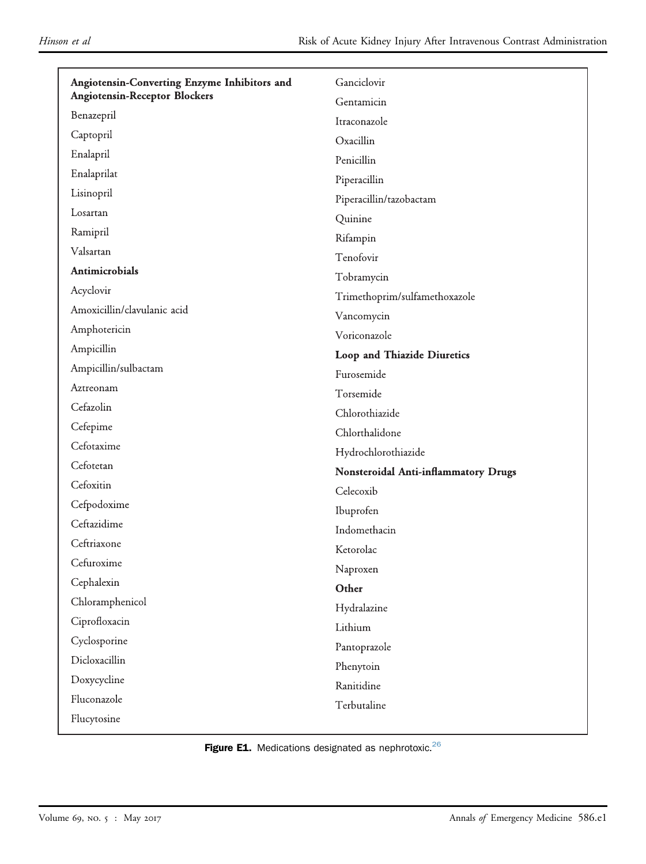<span id="page-10-0"></span>

| Angiotensin-Converting Enzyme Inhibitors and | Ganciclovir                                 |  |  |
|----------------------------------------------|---------------------------------------------|--|--|
| <b>Angiotensin-Receptor Blockers</b>         | Gentamicin                                  |  |  |
| Benazepril                                   | Itraconazole                                |  |  |
| Captopril                                    | Oxacillin                                   |  |  |
| Enalapril                                    | Penicillin                                  |  |  |
| Enalaprilat                                  | Piperacillin                                |  |  |
| Lisinopril                                   | Piperacillin/tazobactam                     |  |  |
| Losartan                                     | Quinine                                     |  |  |
| Ramipril                                     | Rifampin                                    |  |  |
| Valsartan                                    | Tenofovir                                   |  |  |
| Antimicrobials                               | Tobramycin                                  |  |  |
| Acyclovir                                    | Trimethoprim/sulfamethoxazole               |  |  |
| Amoxicillin/clavulanic acid                  | Vancomycin                                  |  |  |
| Amphotericin                                 | Voriconazole                                |  |  |
| Ampicillin                                   | Loop and Thiazide Diuretics                 |  |  |
| Ampicillin/sulbactam                         | Furosemide                                  |  |  |
| Aztreonam                                    | Torsemide                                   |  |  |
| Cefazolin                                    | Chlorothiazide                              |  |  |
| Cefepime                                     | Chlorthalidone                              |  |  |
| Cefotaxime                                   | Hydrochlorothiazide                         |  |  |
| Cefotetan                                    | <b>Nonsteroidal Anti-inflammatory Drugs</b> |  |  |
| Cefoxitin                                    | Celecoxib                                   |  |  |
| Cefpodoxime                                  | Ibuprofen                                   |  |  |
| Ceftazidime                                  | Indomethacin                                |  |  |
| Ceftriaxone                                  | Ketorolac                                   |  |  |
| Cefuroxime                                   | Naproxen                                    |  |  |
| Cephalexin                                   | Other                                       |  |  |
| Chloramphenicol                              | Hydralazine                                 |  |  |
| Ciprofloxacin                                | Lithium                                     |  |  |
| Cyclosporine                                 | Pantoprazole                                |  |  |
| Dicloxacillin                                | Phenytoin                                   |  |  |
| Doxycycline                                  | Ranitidine                                  |  |  |
| Fluconazole                                  | Terbutaline                                 |  |  |
| Flucytosine                                  |                                             |  |  |

Figure E1. Medications designated as nephrotoxic. $^{26}$  $^{26}$  $^{26}$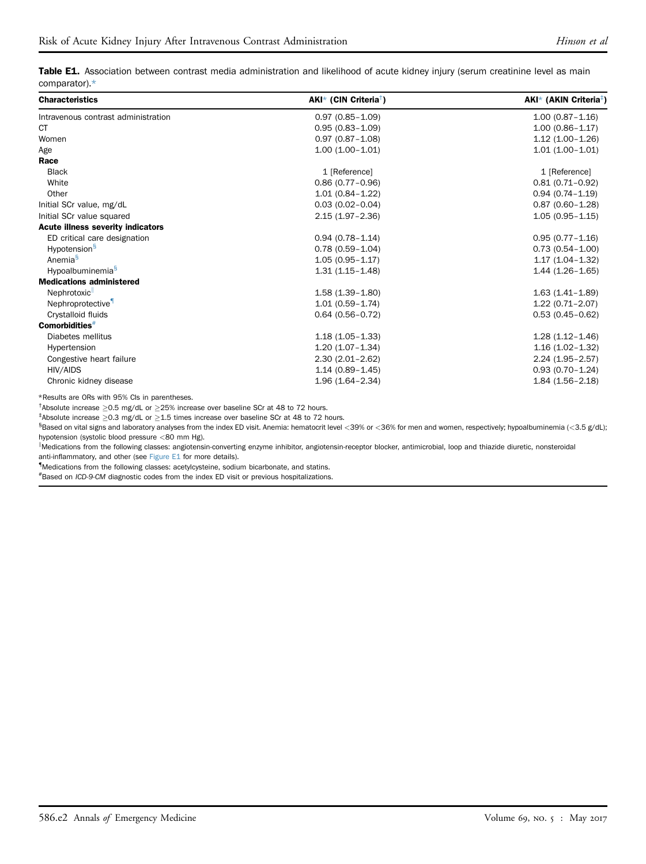<span id="page-11-0"></span>Table E1. Association between contrast media administration and likelihood of acute kidney injury (serum creatinine level as main comparator)[.\\*](#page-11-1)

| <b>Characteristics</b>                   | $AKI^*$ (CIN Criteria <sup>†</sup> ) | $AKI^*$ (AKIN Criteria <sup>‡</sup> ) |
|------------------------------------------|--------------------------------------|---------------------------------------|
| Intravenous contrast administration      | $0.97(0.85 - 1.09)$                  | $1.00(0.87 - 1.16)$                   |
| <b>CT</b>                                | $0.95(0.83 - 1.09)$                  | $1.00(0.86 - 1.17)$                   |
| Women                                    | $0.97(0.87 - 1.08)$                  | $1.12(1.00-1.26)$                     |
| Age                                      | $1.00(1.00 - 1.01)$                  | $1.01(1.00-1.01)$                     |
| Race                                     |                                      |                                       |
| <b>Black</b>                             | 1 [Reference]                        | 1 [Reference]                         |
| White                                    | $0.86(0.77-0.96)$                    | $0.81(0.71 - 0.92)$                   |
| Other                                    | $1.01(0.84 - 1.22)$                  | $0.94(0.74 - 1.19)$                   |
| Initial SCr value, mg/dL                 | $0.03(0.02 - 0.04)$                  | $0.87(0.60 - 1.28)$                   |
| Initial SCr value squared                | $2.15(1.97 - 2.36)$                  | $1.05(0.95 - 1.15)$                   |
| <b>Acute illness severity indicators</b> |                                      |                                       |
| ED critical care designation             | $0.94(0.78 - 1.14)$                  | $0.95(0.77 - 1.16)$                   |
| Hypotension <sup>§</sup>                 | $0.78(0.59 - 1.04)$                  | $0.73(0.54 - 1.00)$                   |
| Anemia <sup>§</sup>                      | $1.05(0.95 - 1.17)$                  | $1.17(1.04 - 1.32)$                   |
| Hypoalbuminemia <sup>§</sup>             | $1.31(1.15 - 1.48)$                  | $1.44(1.26-1.65)$                     |
| <b>Medications administered</b>          |                                      |                                       |
| Nephrotoxic                              | $1.58(1.39 - 1.80)$                  | $1.63(1.41 - 1.89)$                   |
| Nephroprotective                         | $1.01(0.59 - 1.74)$                  | $1.22(0.71 - 2.07)$                   |
| Crystalloid fluids                       | $0.64(0.56 - 0.72)$                  | $0.53(0.45 - 0.62)$                   |
| Comorbidities <sup>#</sup>               |                                      |                                       |
| Diabetes mellitus                        | $1.18(1.05 - 1.33)$                  | $1.28(1.12 - 1.46)$                   |
| Hypertension                             | $1.20(1.07 - 1.34)$                  | $1.16(1.02 - 1.32)$                   |
| Congestive heart failure                 | $2.30(2.01 - 2.62)$                  | $2.24(1.95-2.57)$                     |
| HIV/AIDS                                 | $1.14(0.89 - 1.45)$                  | $0.93(0.70 - 1.24)$                   |
| Chronic kidney disease                   | $1.96(1.64 - 2.34)$                  | $1.84(1.56 - 2.18)$                   |

<span id="page-11-1"></span>\*Results are ORs with 95% CIs in parentheses.

<span id="page-11-2"></span><sup>†</sup>Absolute increase  $\geq$ 0.5 mg/dL or  $\geq$ 25% increase over baseline SCr at 48 to 72 hours.

<span id="page-11-3"></span> $^{\ddagger}$ Absolute increase  $\geq$ 0.3 mg/dL or  $\geq$ 1.5 times increase over baseline SCr at 48 to 72 hours.

<span id="page-11-4"></span>§ Based on vital signs and laboratory analyses from the index ED visit. Anemia: hematocrit level <39% or <36% for men and women, respectively; hypoalbuminemia (<3.5 g/dL); hypotension (systolic blood pressure <80 mm Hg).

k Medications from the following classes: angiotensin-converting enzyme inhibitor, angiotensin-receptor blocker, antimicrobial, loop and thiazide diuretic, nonsteroidal anti-inflammatory, and other (see [Figure E1](#page-10-0) for more details).

{ Medications from the following classes: acetylcysteine, sodium bicarbonate, and statins.

<span id="page-11-5"></span># Based on ICD-9-CM diagnostic codes from the index ED visit or previous hospitalizations.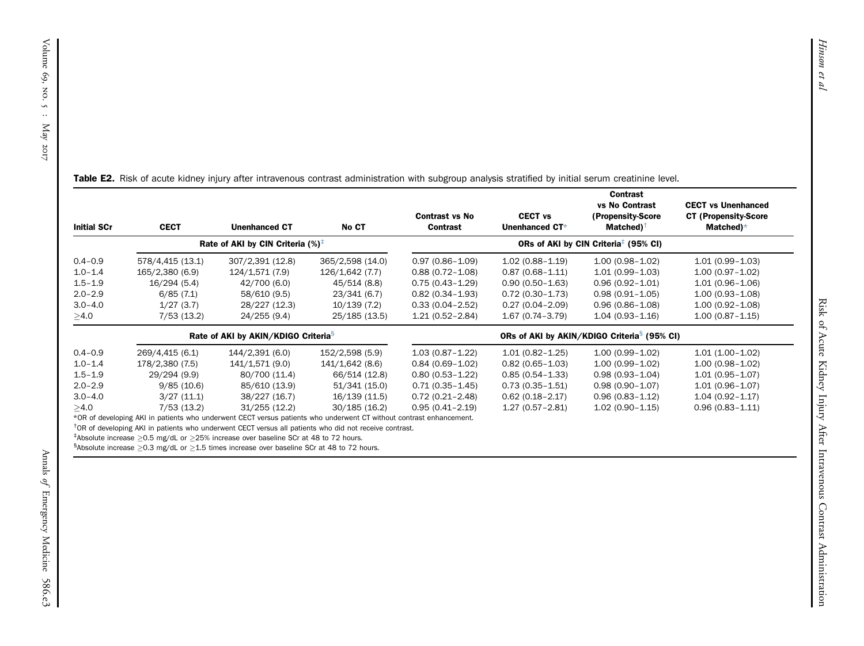| <b>Initial SCr</b>                            | <b>CECT</b>                                                                                                         | <b>Unenhanced CT</b>                            | No CT            | <b>Contrast vs No</b><br>Contrast | <b>CECT vs</b><br>Unenhanced CT* | Contrast<br>vs No Contrast<br>(Propensity-Score<br>Matched) $^{\dagger}$ | <b>CECT vs Unenhanced</b><br><b>CT (Propensity-Score</b><br>Matched) $*$ |
|-----------------------------------------------|---------------------------------------------------------------------------------------------------------------------|-------------------------------------------------|------------------|-----------------------------------|----------------------------------|--------------------------------------------------------------------------|--------------------------------------------------------------------------|
| Rate of AKI by CIN Criteria $(\%)^{\ddagger}$ |                                                                                                                     |                                                 |                  |                                   |                                  | ORs of AKI by CIN Criteria <sup>‡</sup> (95% CI)                         |                                                                          |
| $0.4 - 0.9$                                   | 578/4,415 (13.1)                                                                                                    | 307/2,391 (12.8)                                | 365/2,598 (14.0) | $0.97(0.86 - 1.09)$               | $1.02(0.88 - 1.19)$              | $1.00(0.98 - 1.02)$                                                      | $1.01(0.99 - 1.03)$                                                      |
| $1.0 - 1.4$                                   | 165/2,380 (6.9)                                                                                                     | 124/1,571 (7.9)                                 | 126/1,642 (7.7)  | $0.88(0.72 - 1.08)$               | $0.87(0.68 - 1.11)$              | $1.01(0.99 - 1.03)$                                                      | $1.00(0.97 - 1.02)$                                                      |
| $1.5 - 1.9$                                   | 16/294 (5.4)                                                                                                        | 42/700 (6.0)                                    | 45/514 (8.8)     | $0.75(0.43 - 1.29)$               | $0.90(0.50 - 1.63)$              | $0.96(0.92 - 1.01)$                                                      | $1.01(0.96 - 1.06)$                                                      |
| $2.0 - 2.9$                                   | 6/85(7.1)                                                                                                           | 58/610 (9.5)                                    | 23/341 (6.7)     | $0.82(0.34 - 1.93)$               | $0.72(0.30 - 1.73)$              | $0.98(0.91 - 1.05)$                                                      | $1.00(0.93 - 1.08)$                                                      |
| $3.0 - 4.0$                                   | 1/27(3.7)                                                                                                           | 28/227 (12.3)                                   | 10/139(7.2)      | $0.33(0.04 - 2.52)$               | $0.27(0.04 - 2.09)$              | $0.96(0.86 - 1.08)$                                                      | $1.00(0.92 - 1.08)$                                                      |
| $\geq$ 4.0                                    | 7/53(13.2)                                                                                                          | 24/255 (9.4)                                    | 25/185 (13.5)    | $1.21(0.52 - 2.84)$               | $1.67(0.74 - 3.79)$              | $1.04(0.93 - 1.16)$                                                      | $1.00(0.87 - 1.15)$                                                      |
|                                               |                                                                                                                     | Rate of AKI by AKIN/KDIGO Criteria <sup>s</sup> |                  |                                   |                                  | ORs of AKI by AKIN/KDIGO Criteria <sup>s</sup> (95% CI)                  |                                                                          |
| $0.4 - 0.9$                                   | 269/4,415 (6.1)                                                                                                     | 144/2,391 (6.0)                                 | 152/2,598 (5.9)  | $1.03(0.87 - 1.22)$               | $1.01(0.82 - 1.25)$              | $1.00(0.99 - 1.02)$                                                      | $1.01(1.00-1.02)$                                                        |
| $1.0 - 1.4$                                   | 178/2,380 (7.5)                                                                                                     | 141/1,571 (9.0)                                 | 141/1,642 (8.6)  | $0.84(0.69 - 1.02)$               | $0.82(0.65 - 1.03)$              | $1.00(0.99 - 1.02)$                                                      | $1.00(0.98 - 1.02)$                                                      |
| $1.5 - 1.9$                                   | 29/294 (9.9)                                                                                                        | 80/700 (11.4)                                   | 66/514 (12.8)    | $0.80(0.53 - 1.22)$               | $0.85(0.54 - 1.33)$              | $0.98(0.93 - 1.04)$                                                      | $1.01(0.95 - 1.07)$                                                      |
| $2.0 - 2.9$                                   | 9/85(10.6)                                                                                                          | 85/610 (13.9)                                   | 51/341 (15.0)    | $0.71(0.35 - 1.45)$               | $0.73(0.35 - 1.51)$              | $0.98(0.90 - 1.07)$                                                      | $1.01(0.96 - 1.07)$                                                      |
| $3.0 - 4.0$                                   | 3/27(11.1)                                                                                                          | 38/227 (16.7)                                   | 16/139 (11.5)    | $0.72(0.21 - 2.48)$               | $0.62(0.18-2.17)$                | $0.96(0.83 - 1.12)$                                                      | $1.04(0.92 - 1.17)$                                                      |
| >4.0                                          | 7/53(13.2)                                                                                                          | 31/255(12.2)                                    | 30/185(16.2)     | $0.95(0.41 - 2.19)$               | $1.27(0.57 - 2.81)$              | $1.02(0.90 - 1.15)$                                                      | $0.96(0.83 - 1.11)$                                                      |
|                                               | *OR of developing AKI in patients who underwent CECT versus patients who underwent CT without contrast enhancement. |                                                 |                  |                                   |                                  |                                                                          |                                                                          |
|                                               | <sup>†</sup> OR of developing AKI in patients who underwent CECT versus all patients who did not receive contrast.  |                                                 |                  |                                   |                                  |                                                                          |                                                                          |
|                                               | $\frac{1}{2}$ Absolute increase $\geq 0.5$ mg/d, or $\geq 25\%$ increase over baseline SCr at 49 to 72 hours.       |                                                 |                  |                                   |                                  |                                                                          |                                                                          |

<span id="page-12-3"></span><span id="page-12-2"></span><span id="page-12-1"></span><span id="page-12-0"></span>Table E2. Risk of acute kidney injury after intravenous contrast administration with subgroup analysis stratified by initial serum creatinine level.

<span id="page-12-4"></span> $^{\ddagger}$ Absolute increase  $\geq$ 0.5 mg/dL or  $\geq$ 25% increase over baseline SCr at 48 to 72 hours.

 ${}^{8}$ Absolute increase  $\geq$ 0.3 mg/dL or  $\geq$ 1.5 times increase over baseline SCr at 48 to 72 hours.